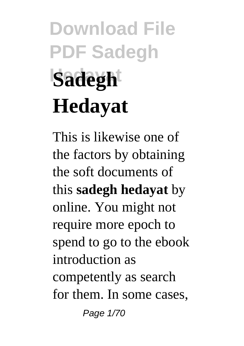# **Download File PDF Sadegh Sadegh Hedayat**

This is likewise one of the factors by obtaining the soft documents of this **sadegh hedayat** by online. You might not require more epoch to spend to go to the ebook introduction as competently as search for them. In some cases, Page 1/70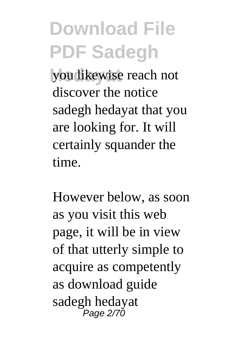**Hedayat** you likewise reach not discover the notice sadegh hedayat that you are looking for. It will certainly squander the time.

However below, as soon as you visit this web page, it will be in view of that utterly simple to acquire as competently as download guide sadegh hedayat Page 2/70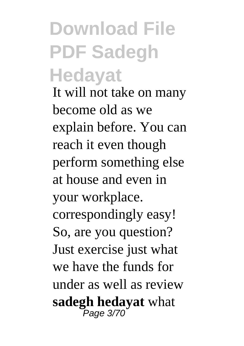#### **Download File PDF Sadegh Hedayat**

It will not take on many become old as we explain before. You can reach it even though perform something else at house and even in your workplace. correspondingly easy! So, are you question? Just exercise just what we have the funds for under as well as review **sadegh hedayat** what Page 3/70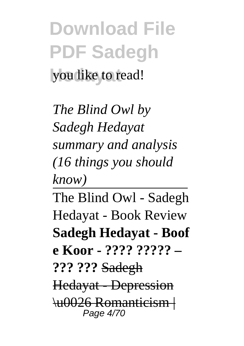**Download File PDF Sadegh** you like to read!

*The Blind Owl by Sadegh Hedayat summary and analysis (16 things you should know)*

The Blind Owl - Sadegh Hedayat - Book Review **Sadegh Hedayat - Boof e Koor - ???? ????? – ??? ???** Sadegh Hedayat - Depression \u0026 Romanticism | Page 4/70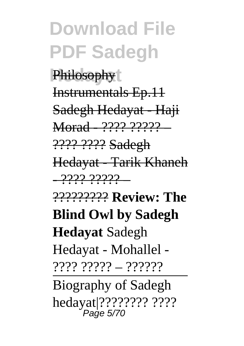**Philosophy** Instrumentals Ep.11 Sadegh Hedayat - Haji Morad - ???? ????? – ???? ???? Sadegh Hedayat - Tarik Khaneh <u>- 2222 2222</u> -????????? **Review: The**

**Blind Owl by Sadegh**

**Hedayat** Sadegh Hedayat - Mohallel - ???? ????? – ??????

Biography of Sadegh hedayat|???????? ???? Page 5/70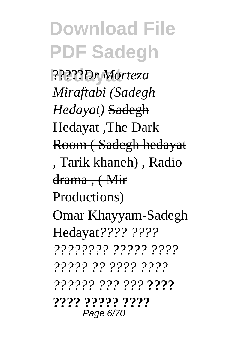**Hedayat** ?????*Dr Morteza Miraftabi (Sadegh Hedayat)* Sadegh Hedayat ,The Dark Room ( Sadegh hedayat , Tarik khaneh) , Radio drama , ( Mir Productions) Omar Khayyam-Sadegh Hedayat*???? ???? ???????? ????? ???? ????? ?? ???? ???? ?????? ??? ???* **???? ???? ????? ????** Page 6/70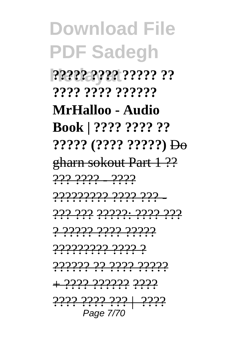,,,,,,,,,,,,,,,,,,, ,,,,,,,,,,,,,,,, MrHalloo - Audio Book | ???? ???? ??  $?????$   $(????? ?????)$  Do gharn sokout Part 1 ?? <u>222.2222 - 2222</u> <u>22222222 2222 222 -</u> <u>222 222 22222. 2222 222</u> <u>2 2222 2222 22222</u> <u>22222222 2222 2</u> <u>22222 22 2222 22222</u> 2222.2222.222 | 2222

Page 7/70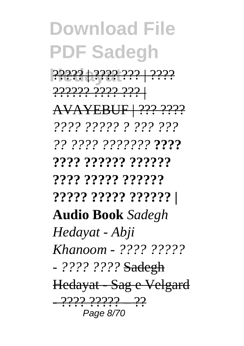**Hedayat** ????? | ???? ??? | ???? ?????? ???? ??? |

AVAYEBUF | ??? ????

*???? ????? ? ??? ???*

*?? ???? ???????* **????**

**???? ?????? ?????? ???? ????? ??????**

**????? ????? ?????? |**

**Audio Book** *Sadegh*

*Hedayat - Abji*

*Khanoom - ???? ?????*

*- ???? ????* Sadegh

Hedayat - Sag e Velgard - ???? ????? – ?? Page 8/70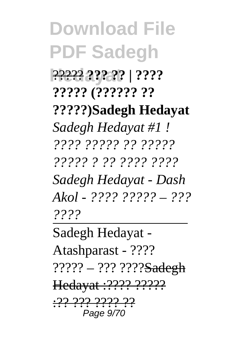**Hedayat** ????? **??? ?? | ???? ????? (?????? ?? ?????)Sadegh Hedayat** *Sadegh Hedayat #1 ! ???? ????? ?? ????? ????? ? ?? ???? ???? Sadegh Hedayat - Dash Akol - ???? ????? – ??? ????*

Sadegh Hedayat - Atashparast - ???? ????? – ??? ????<del>Sadegh</del> Hedayat :???? ?????? <u>:२२ २२२ २२२२ २२</u> Page 9/70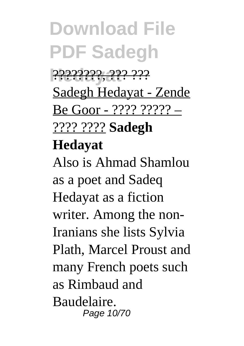**Hedayat** ????????, ??? ??? Sadegh Hedayat - Zende Be Goor - ???? ????? – ???? ???? **Sadegh**

#### **Hedayat**

Also is Ahmad Shamlou as a poet and Sadeq Hedayat as a fiction writer. Among the non-Iranians she lists Sylvia Plath, Marcel Proust and many French poets such as Rimbaud and Baudelaire. Page 10/70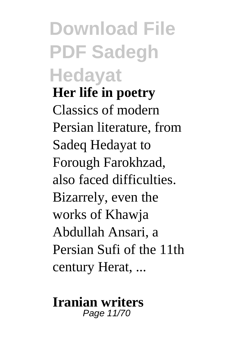**Download File PDF Sadegh Hedayat Her life in poetry** Classics of modern Persian literature, from Sadeq Hedayat to Forough Farokhzad, also faced difficulties. Bizarrely, even the works of Khawja Abdullah Ansari, a Persian Sufi of the 11th century Herat, ...

#### **Iranian writers** Page 11/70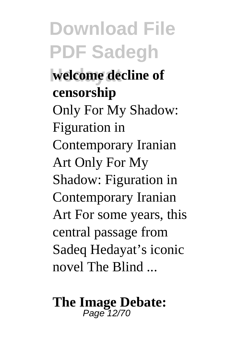**Hedayat welcome decline of censorship** Only For My Shadow: Figuration in Contemporary Iranian Art Only For My Shadow: Figuration in Contemporary Iranian Art For some years, this central passage from Sadeq Hedayat's iconic novel The Blind

# **The Image Debate:** Page 12/70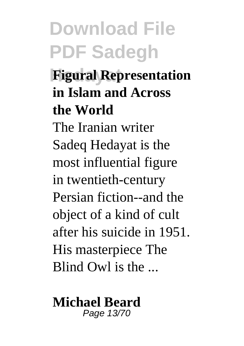#### **Hedayat Figural Representation in Islam and Across the World**

The Iranian writer Sadeq Hedayat is the most influential figure in twentieth-century Persian fiction--and the object of a kind of cult after his suicide in 1951. His masterpiece The Blind  $Ow1$  is the  $\blacksquare$ 

#### **Michael Beard** Page 13/70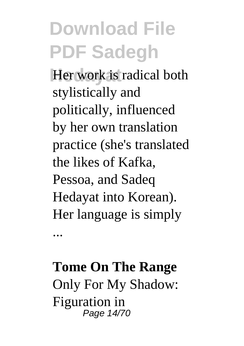**Her work is radical both** stylistically and politically, influenced by her own translation practice (she's translated the likes of Kafka, Pessoa, and Sadeq Hedayat into Korean). Her language is simply

#### **Tome On The Range** Only For My Shadow: Figuration in Page 14/70

...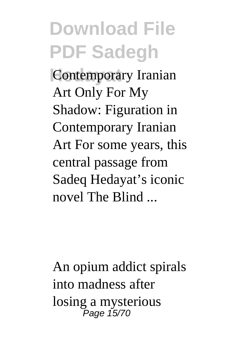**Contemporary Iranian** Art Only For My Shadow: Figuration in Contemporary Iranian Art For some years, this central passage from Sadeq Hedayat's iconic novel The Blind ...

An opium addict spirals into madness after losing a mysterious Page 15/70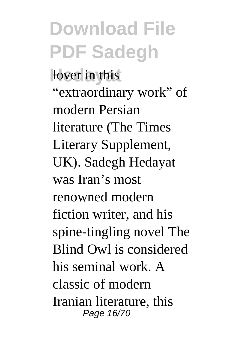lover in this "extraordinary work" of modern Persian literature (The Times Literary Supplement, UK). Sadegh Hedayat was Iran's most renowned modern fiction writer, and his spine-tingling novel The Blind Owl is considered his seminal work. A classic of modern Iranian literature, this Page 16/70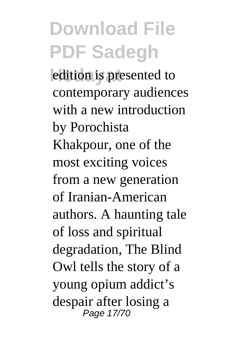edition is presented to contemporary audiences with a new introduction by Porochista Khakpour, one of the most exciting voices from a new generation of Iranian-American authors. A haunting tale of loss and spiritual degradation, The Blind Owl tells the story of a young opium addict's despair after losing a Page 17/70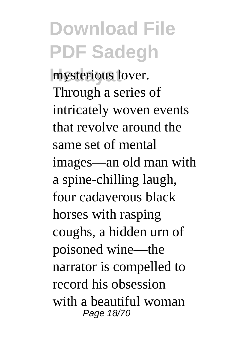mysterious lover. Through a series of intricately woven events that revolve around the same set of mental images—an old man with a spine-chilling laugh, four cadaverous black horses with rasping coughs, a hidden urn of poisoned wine—the narrator is compelled to record his obsession with a beautiful woman Page 18/70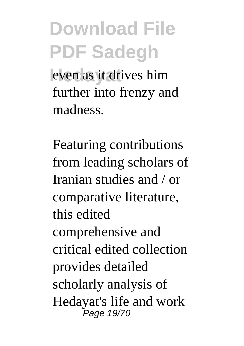even as it drives him further into frenzy and madness.

Featuring contributions from leading scholars of Iranian studies and / or comparative literature, this edited comprehensive and critical edited collection provides detailed scholarly analysis of Hedayat's life and work Page 19/70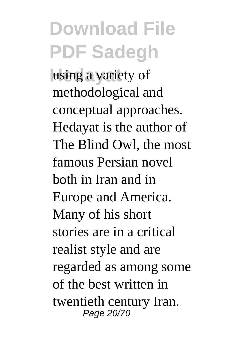using a variety of methodological and conceptual approaches. Hedayat is the author of The Blind Owl, the most famous Persian novel both in Iran and in Europe and America. Many of his short stories are in a critical realist style and are regarded as among some of the best written in twentieth century Iran. Page 20/70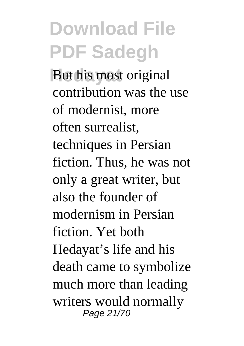**But his most original** contribution was the use of modernist, more often surrealist, techniques in Persian fiction. Thus, he was not only a great writer, but also the founder of modernism in Persian fiction. Yet both Hedayat's life and his death came to symbolize much more than leading writers would normally Page 21/70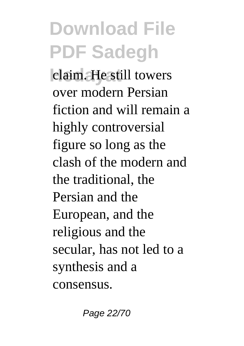**Learn Heatill towers** over modern Persian fiction and will remain a highly controversial figure so long as the clash of the modern and the traditional, the Persian and the European, and the religious and the secular, has not led to a synthesis and a consensus.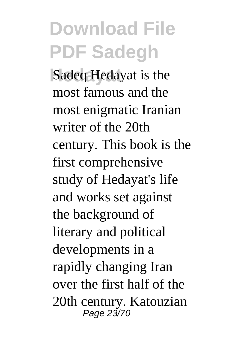**Sadeq Hedayat** is the most famous and the most enigmatic Iranian writer of the 20th century. This book is the first comprehensive study of Hedayat's life and works set against the background of literary and political developments in a rapidly changing Iran over the first half of the 20th century. Katouzian Page 23/70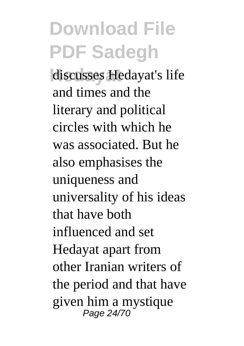discusses Hedayat's life and times and the literary and political circles with which he was associated. But he also emphasises the uniqueness and universality of his ideas that have both influenced and set Hedayat apart from other Iranian writers of the period and that have given him a mystique Page 24/70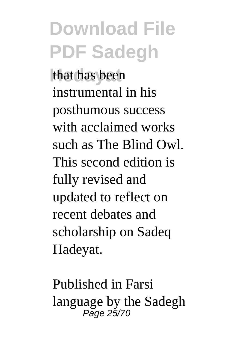that has been instrumental in his posthumous success with acclaimed works such as The Blind Owl. This second edition is fully revised and updated to reflect on recent debates and scholarship on Sadeq Hadeyat.

Published in Farsi language by the Sadegh Page 25/70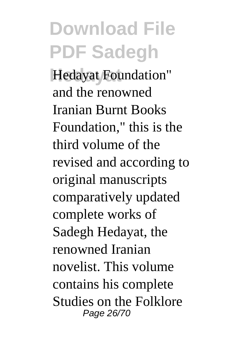**Hedayat** Hedayat Foundation" and the renowned Iranian Burnt Books Foundation," this is the third volume of the revised and according to original manuscripts comparatively updated complete works of Sadegh Hedayat, the renowned Iranian novelist. This volume contains his complete Studies on the Folklore Page 26/70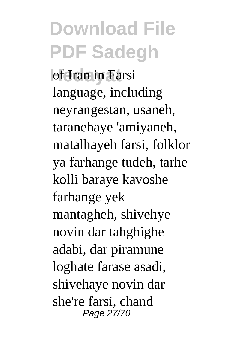**of Iran in Farsi** language, including neyrangestan, usaneh, taranehaye 'amiyaneh, matalhayeh farsi, folklor ya farhange tudeh, tarhe kolli baraye kavoshe farhange yek mantagheh, shivehye novin dar tahghighe adabi, dar piramune loghate farase asadi, shivehaye novin dar she're farsi, chand Page 27/70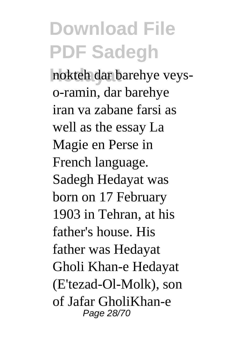nokteh dar barehye veyso-ramin, dar barehye iran va zabane farsi as well as the essay La Magie en Perse in French language. Sadegh Hedayat was born on 17 February 1903 in Tehran, at his father's house. His father was Hedayat Gholi Khan-e Hedayat (E'tezad-Ol-Molk), son of Jafar GholiKhan-e Page 28/70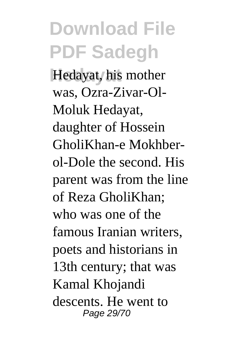**Hedayat**, his mother was, Ozra-Zivar-Ol-Moluk Hedayat, daughter of Hossein GholiKhan-e Mokhberol-Dole the second. His parent was from the line of Reza GholiKhan; who was one of the famous Iranian writers, poets and historians in 13th century; that was Kamal Khojandi descents. He went to Page 29/70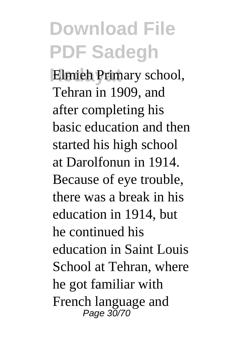**Elmieh Primary school,** Tehran in 1909, and after completing his basic education and then started his high school at Darolfonun in 1914. Because of eye trouble, there was a break in his education in 1914, but he continued his education in Saint Louis School at Tehran, where he got familiar with French language and Page 30/70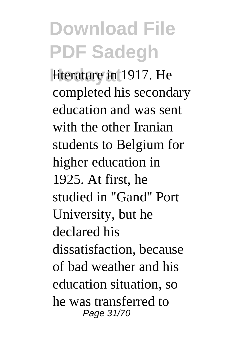**Hiterature in 1917. He** completed his secondary education and was sent with the other Iranian students to Belgium for higher education in 1925. At first, he studied in "Gand" Port University, but he declared his dissatisfaction, because of bad weather and his education situation, so he was transferred to Page 31/70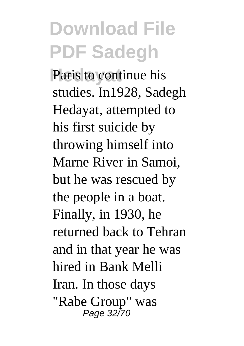Paris to continue his studies. In1928, Sadegh Hedayat, attempted to his first suicide by throwing himself into Marne River in Samoi, but he was rescued by the people in a boat. Finally, in 1930, he returned back to Tehran and in that year he was hired in Bank Melli Iran. In those days "Rabe Group" was Page 32/70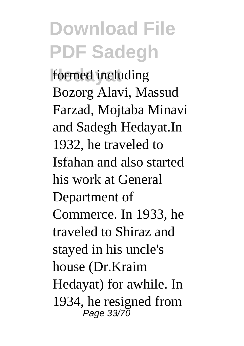formed including Bozorg Alavi, Massud Farzad, Mojtaba Minavi and Sadegh Hedayat.In 1932, he traveled to Isfahan and also started his work at General Department of Commerce. In 1933, he traveled to Shiraz and stayed in his uncle's house (Dr.Kraim Hedayat) for awhile. In 1934, he resigned from Page 33/70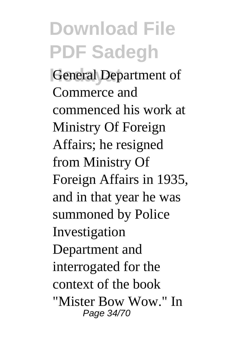**General Department of** Commerce and commenced his work at Ministry Of Foreign Affairs; he resigned from Ministry Of Foreign Affairs in 1935, and in that year he was summoned by Police Investigation Department and interrogated for the context of the book "Mister Bow Wow." In Page 34/70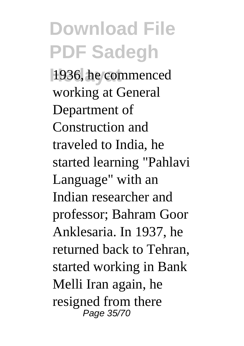**Hedayat** 1936, he commenced working at General Department of Construction and traveled to India, he started learning "Pahlavi Language" with an Indian researcher and professor; Bahram Goor Anklesaria. In 1937, he returned back to Tehran, started working in Bank Melli Iran again, he resigned from there Page 35/70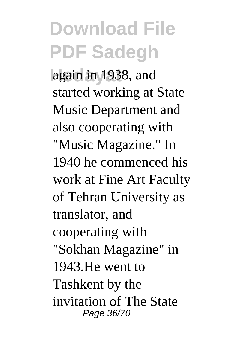again in 1938, and started working at State Music Department and also cooperating with "Music Magazine." In 1940 he commenced his work at Fine Art Faculty of Tehran University as translator, and cooperating with "Sokhan Magazine" in 1943.He went to Tashkent by the invitation of The State Page 36/70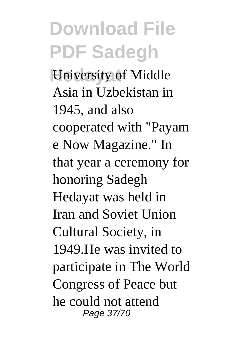*<u>University</u>* of Middle Asia in Uzbekistan in 1945, and also cooperated with "Payam e Now Magazine." In that year a ceremony for honoring Sadegh Hedayat was held in Iran and Soviet Union Cultural Society, in 1949.He was invited to participate in The World Congress of Peace but he could not attend Page 37/70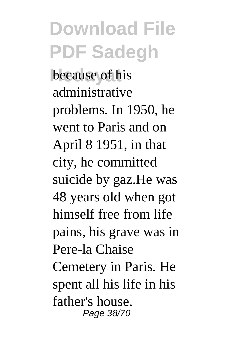**hecause** of his administrative problems. In 1950, he went to Paris and on April 8 1951, in that city, he committed suicide by gaz.He was 48 years old when got himself free from life pains, his grave was in Pere-la Chaise Cemetery in Paris. He spent all his life in his

father's house. Page 38/70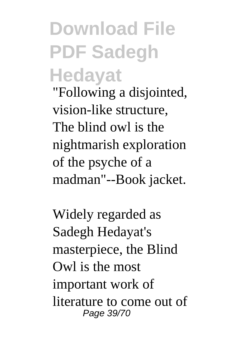#### **Download File PDF Sadegh Hedayat**

"Following a disjointed, vision-like structure, The blind owl is the nightmarish exploration of the psyche of a madman"--Book jacket.

Widely regarded as Sadegh Hedayat's masterpiece, the Blind Owl is the most important work of literature to come out of Page 39/70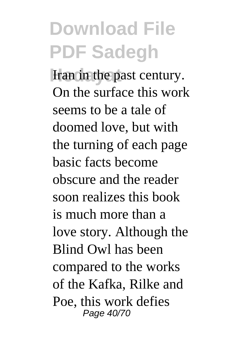**Iran in the past century.** On the surface this work seems to be a tale of doomed love, but with the turning of each page basic facts become obscure and the reader soon realizes this book is much more than a love story. Although the Blind Owl has been compared to the works of the Kafka, Rilke and Poe, this work defies Page 40/70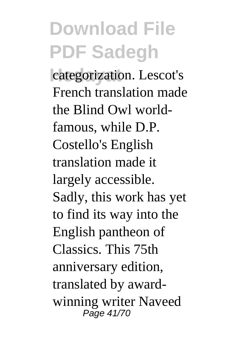categorization. Lescot's French translation made the Blind Owl worldfamous, while D.P. Costello's English translation made it largely accessible. Sadly, this work has yet to find its way into the English pantheon of Classics. This 75th anniversary edition, translated by awardwinning writer Naveed Page 41/70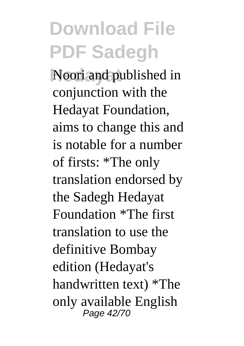**Hedayat** Noori and published in conjunction with the Hedayat Foundation, aims to change this and is notable for a number of firsts: \*The only translation endorsed by the Sadegh Hedayat Foundation \*The first translation to use the definitive Bombay edition (Hedayat's handwritten text) \*The only available English Page 42/70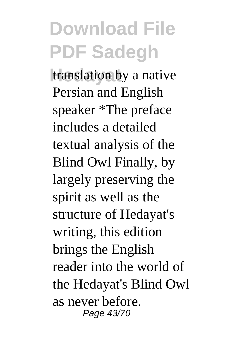translation by a native Persian and English speaker \*The preface includes a detailed textual analysis of the Blind Owl Finally, by largely preserving the spirit as well as the structure of Hedayat's writing, this edition brings the English reader into the world of the Hedayat's Blind Owl as never before. Page 43/70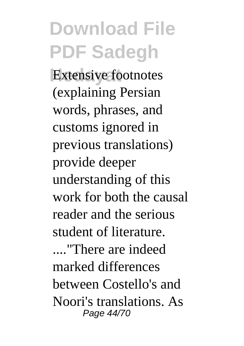**Extensive footnotes** (explaining Persian words, phrases, and customs ignored in previous translations) provide deeper understanding of this work for both the causal reader and the serious student of literature. ...."There are indeed marked differences

between Costello's and Noori's translations. As Page 44/70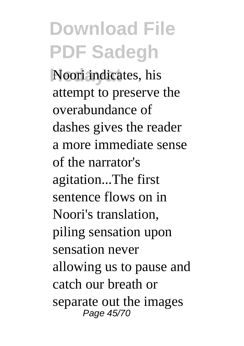**Hedayat** Noori indicates, his attempt to preserve the overabundance of dashes gives the reader a more immediate sense of the narrator's agitation...The first sentence flows on in Noori's translation, piling sensation upon sensation never allowing us to pause and catch our breath or separate out the images Page 45/70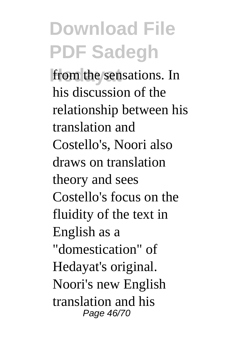from the sensations. In his discussion of the relationship between his translation and Costello's, Noori also draws on translation theory and sees Costello's focus on the fluidity of the text in English as a "domestication" of Hedayat's original. Noori's new English translation and his Page 46/70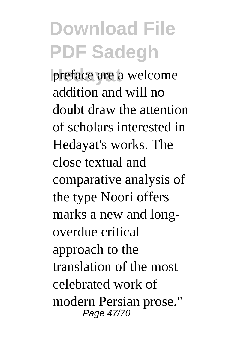preface are a welcome addition and will no doubt draw the attention of scholars interested in Hedayat's works. The close textual and comparative analysis of the type Noori offers marks a new and longoverdue critical approach to the translation of the most celebrated work of modern Persian prose." Page 47/70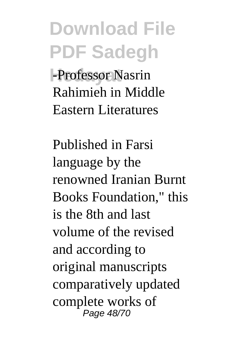**Hedayat** -Professor Nasrin Rahimieh in Middle Eastern Literatures

Published in Farsi language by the renowned Iranian Burnt Books Foundation," this is the 8th and last volume of the revised and according to original manuscripts comparatively updated complete works of Page 48/70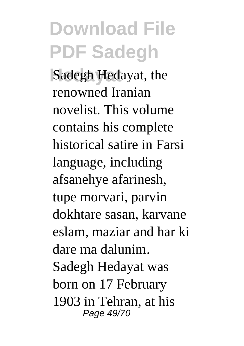**Hedayat** Sadegh Hedayat, the renowned Iranian novelist. This volume contains his complete historical satire in Farsi language, including afsanehye afarinesh, tupe morvari, parvin dokhtare sasan, karvane eslam, maziar and har ki dare ma dalunim. Sadegh Hedayat was born on 17 February 1903 in Tehran, at his Page 49/70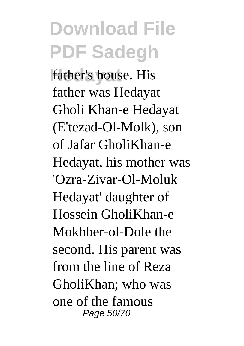father's house. His father was Hedayat Gholi Khan-e Hedayat (E'tezad-Ol-Molk), son of Jafar GholiKhan-e Hedayat, his mother was 'Ozra-Zivar-Ol-Moluk Hedayat' daughter of Hossein GholiKhan-e Mokhber-ol-Dole the second. His parent was from the line of Reza GholiKhan; who was one of the famous Page 50/70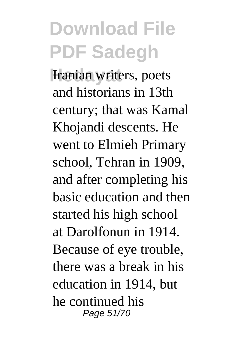**Iranian writers, poets** and historians in 13th century; that was Kamal Khojandi descents. He went to Elmieh Primary school, Tehran in 1909, and after completing his basic education and then started his high school at Darolfonun in 1914. Because of eye trouble, there was a break in his education in 1914, but he continued his Page 51/70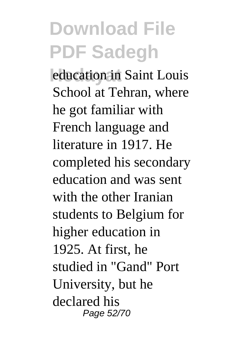*<u>education in</u>* Saint Louis School at Tehran, where he got familiar with French language and literature in 1917. He completed his secondary education and was sent with the other Iranian students to Belgium for higher education in 1925. At first, he studied in "Gand" Port University, but he declared his Page 52/70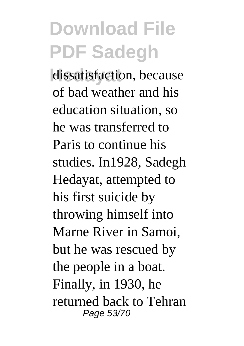dissatisfaction, because of bad weather and his education situation, so he was transferred to Paris to continue his studies. In1928, Sadegh Hedayat, attempted to his first suicide by throwing himself into Marne River in Samoi, but he was rescued by the people in a boat. Finally, in 1930, he returned back to Tehran Page 53/70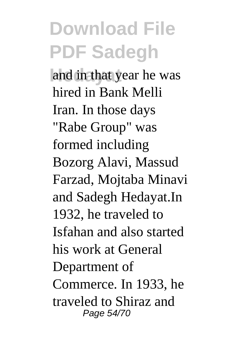and in that year he was hired in Bank Melli Iran. In those days "Rabe Group" was formed including Bozorg Alavi, Massud Farzad, Mojtaba Minavi and Sadegh Hedayat.In 1932, he traveled to Isfahan and also started his work at General Department of Commerce. In 1933, he traveled to Shiraz and Page 54/70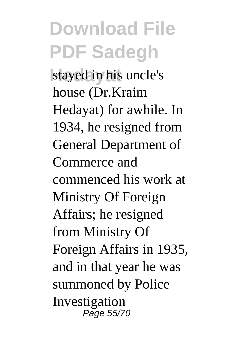stayed in his uncle's house (Dr.Kraim Hedayat) for awhile. In 1934, he resigned from General Department of Commerce and commenced his work at Ministry Of Foreign Affairs; he resigned from Ministry Of Foreign Affairs in 1935, and in that year he was summoned by Police Investigation Page 55/70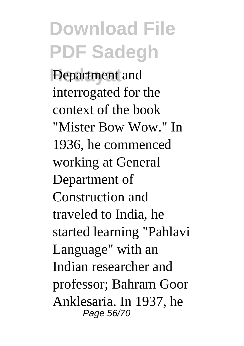**Department** and interrogated for the context of the book "Mister Bow Wow." In 1936, he commenced working at General Department of Construction and traveled to India, he started learning "Pahlavi Language" with an Indian researcher and professor; Bahram Goor Anklesaria. In 1937, he Page 56/70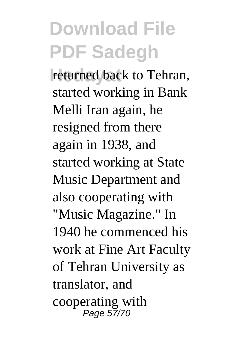returned back to Tehran, started working in Bank Melli Iran again, he resigned from there again in 1938, and started working at State Music Department and also cooperating with "Music Magazine." In 1940 he commenced his work at Fine Art Faculty of Tehran University as translator, and cooperating with Page 57/70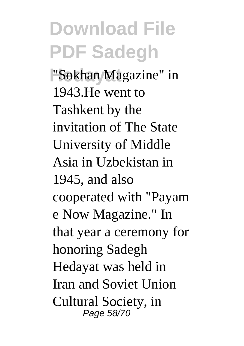**"Sokhan Magazine"** in 1943.He went to Tashkent by the invitation of The State University of Middle Asia in Uzbekistan in 1945, and also cooperated with "Payam e Now Magazine." In that year a ceremony for honoring Sadegh Hedayat was held in Iran and Soviet Union Cultural Society, in Page 58/70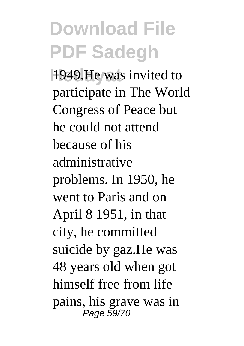**He** was invited to participate in The World Congress of Peace but he could not attend because of his administrative problems. In 1950, he went to Paris and on April 8 1951, in that city, he committed suicide by gaz.He was 48 years old when got himself free from life pains, his grave was in Page 59/70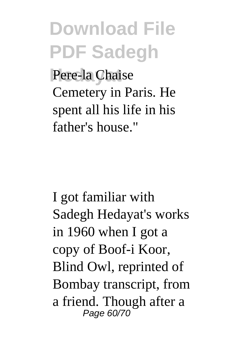Pere-la Chaise Cemetery in Paris. He spent all his life in his father's house."

I got familiar with Sadegh Hedayat's works in 1960 when I got a copy of Boof-i Koor, Blind Owl, reprinted of Bombay transcript, from a friend. Though after a Page 60/70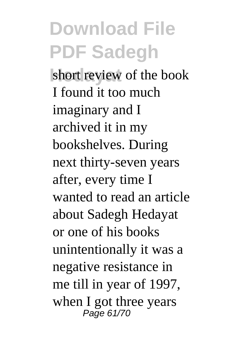short review of the book I found it too much imaginary and I archived it in my bookshelves. During next thirty-seven years after, every time I wanted to read an article about Sadegh Hedayat or one of his books unintentionally it was a negative resistance in me till in year of 1997, when I got three years Page 61/70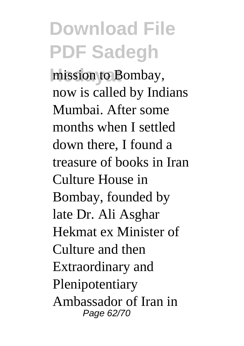mission to Bombay, now is called by Indians Mumbai. After some months when I settled down there, I found a treasure of books in Iran Culture House in Bombay, founded by late Dr. Ali Asghar Hekmat ex Minister of Culture and then Extraordinary and Plenipotentiary Ambassador of Iran in Page 62/70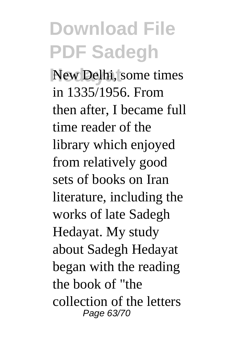**New Delhi, some times** in 1335/1956. From then after, I became full time reader of the library which enjoyed from relatively good sets of books on Iran literature, including the works of late Sadegh Hedayat. My study about Sadegh Hedayat began with the reading the book of "the collection of the letters Page 63/70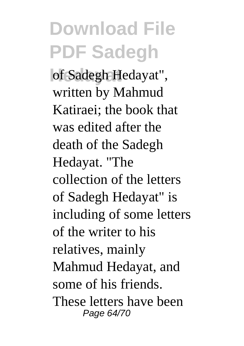of Sadegh Hedayat", written by Mahmud Katiraei; the book that was edited after the death of the Sadegh Hedayat. "The collection of the letters of Sadegh Hedayat" is including of some letters of the writer to his relatives, mainly Mahmud Hedayat, and some of his friends. These letters have been Page 64/70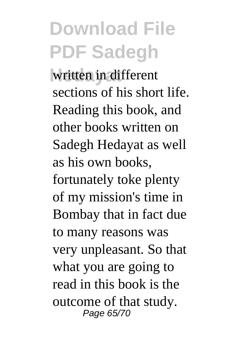written in different sections of his short life. Reading this book, and other books written on Sadegh Hedayat as well as his own books, fortunately toke plenty of my mission's time in Bombay that in fact due to many reasons was very unpleasant. So that what you are going to read in this book is the outcome of that study. Page 65/70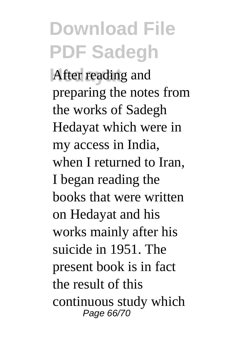**After reading and** preparing the notes from the works of Sadegh Hedayat which were in my access in India, when I returned to Iran, I began reading the books that were written on Hedayat and his works mainly after his suicide in 1951. The present book is in fact the result of this continuous study which Page 66/70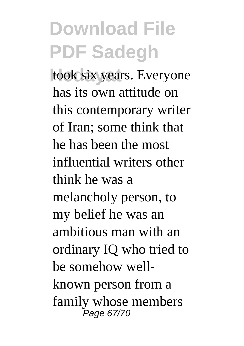took six years. Everyone has its own attitude on this contemporary writer of Iran; some think that he has been the most influential writers other think he was a melancholy person, to my belief he was an ambitious man with an ordinary IQ who tried to be somehow wellknown person from a family whose members Page 67/70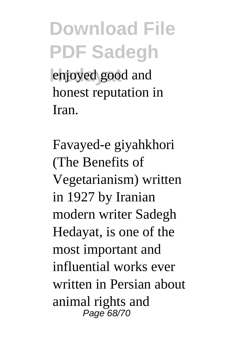**Hedayat** enjoyed good and honest reputation in Iran.

Favayed-e giyahkhori (The Benefits of Vegetarianism) written in 1927 by Iranian modern writer Sadegh Hedayat, is one of the most important and influential works ever written in Persian about animal rights and Page 68/70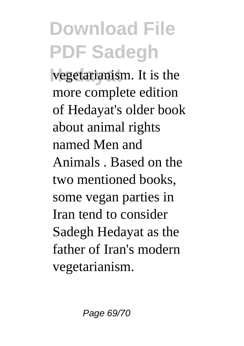vegetarianism. It is the more complete edition of Hedayat's older book about animal rights named Men and Animals . Based on the two mentioned books, some vegan parties in Iran tend to consider Sadegh Hedayat as the father of Iran's modern vegetarianism.